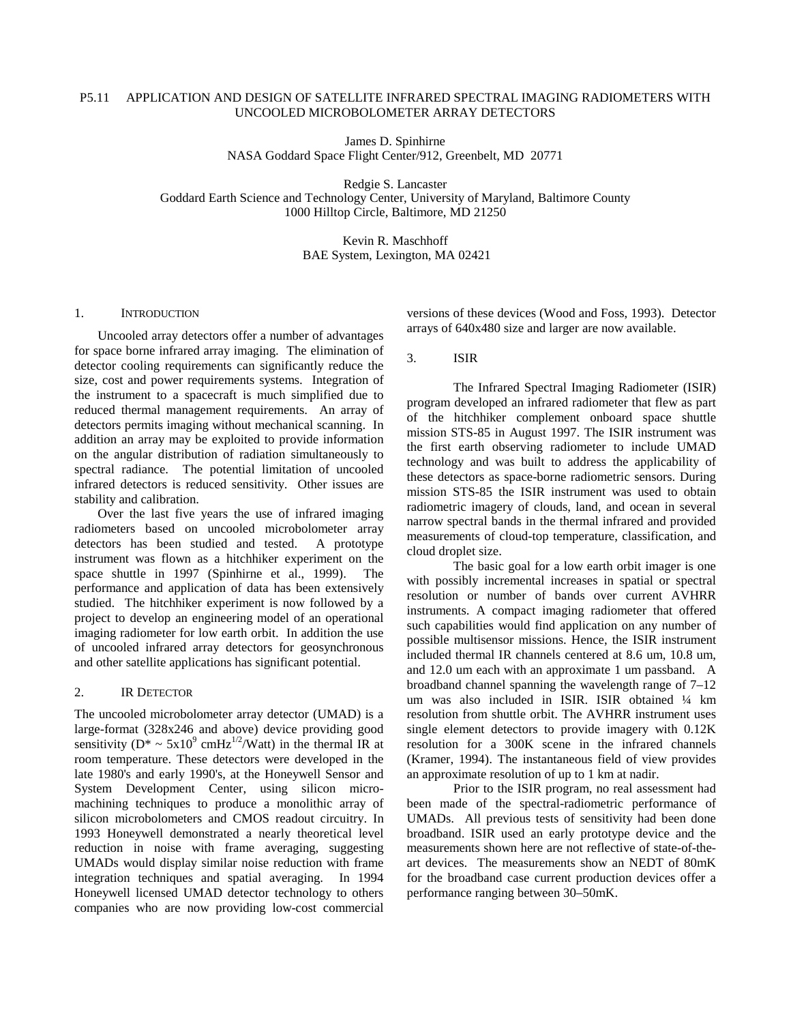## P5.11 APPLICATION AND DESIGN OF SATELLITE INFRARED SPECTRAL IMAGING RADIOMETERS WITH UNCOOLED MICROBOLOMETER ARRAY DETECTORS

James D. Spinhirne NASA Goddard Space Flight Center/912, Greenbelt, MD 20771

Redgie S. Lancaster Goddard Earth Science and Technology Center, University of Maryland, Baltimore County 1000 Hilltop Circle, Baltimore, MD 21250

> Kevin R. Maschhoff BAE System, Lexington, MA 02421

#### 1. INTRODUCTION

Uncooled array detectors offer a number of advantages for space borne infrared array imaging. The elimination of detector cooling requirements can significantly reduce the size, cost and power requirements systems. Integration of the instrument to a spacecraft is much simplified due to reduced thermal management requirements. An array of detectors permits imaging without mechanical scanning. In addition an array may be exploited to provide information on the angular distribution of radiation simultaneously to spectral radiance. The potential limitation of uncooled infrared detectors is reduced sensitivity. Other issues are stability and calibration.

Over the last five years the use of infrared imaging radiometers based on uncooled microbolometer array detectors has been studied and tested. A prototype instrument was flown as a hitchhiker experiment on the space shuttle in 1997 (Spinhirne et al., 1999). The performance and application of data has been extensively studied. The hitchhiker experiment is now followed by a project to develop an engineering model of an operational imaging radiometer for low earth orbit. In addition the use of uncooled infrared array detectors for geosynchronous and other satellite applications has significant potential.

#### 2. IR DETECTOR

The uncooled microbolometer array detector (UMAD) is a large-format (328x246 and above) device providing good sensitivity ( $D^* \sim 5x10^9$  cmHz<sup>1/2</sup>/Watt) in the thermal IR at room temperature. These detectors were developed in the late 1980's and early 1990's, at the Honeywell Sensor and System Development Center, using silicon micromachining techniques to produce a monolithic array of silicon microbolometers and CMOS readout circuitry. In 1993 Honeywell demonstrated a nearly theoretical level reduction in noise with frame averaging, suggesting UMADs would display similar noise reduction with frame integration techniques and spatial averaging. In 1994 Honeywell licensed UMAD detector technology to others companies who are now providing low-cost commercial

versions of these devices (Wood and Foss, 1993). Detector arrays of 640x480 size and larger are now available.

3. ISIR

The Infrared Spectral Imaging Radiometer (ISIR) program developed an infrared radiometer that flew as part of the hitchhiker complement onboard space shuttle mission STS-85 in August 1997. The ISIR instrument was the first earth observing radiometer to include UMAD technology and was built to address the applicability of these detectors as space-borne radiometric sensors. During mission STS-85 the ISIR instrument was used to obtain radiometric imagery of clouds, land, and ocean in several narrow spectral bands in the thermal infrared and provided measurements of cloud-top temperature, classification, and cloud droplet size.

The basic goal for a low earth orbit imager is one with possibly incremental increases in spatial or spectral resolution or number of bands over current AVHRR instruments. A compact imaging radiometer that offered such capabilities would find application on any number of possible multisensor missions. Hence, the ISIR instrument included thermal IR channels centered at 8.6 um, 10.8 um, and 12.0 um each with an approximate 1 um passband. A broadband channel spanning the wavelength range of 7–12 um was also included in ISIR. ISIR obtained ¼ km resolution from shuttle orbit. The AVHRR instrument uses single element detectors to provide imagery with 0.12K resolution for a 300K scene in the infrared channels (Kramer, 1994). The instantaneous field of view provides an approximate resolution of up to 1 km at nadir.

Prior to the ISIR program, no real assessment had been made of the spectral-radiometric performance of UMADs. All previous tests of sensitivity had been done broadband. ISIR used an early prototype device and the measurements shown here are not reflective of state-of-theart devices. The measurements show an NEDT of 80mK for the broadband case current production devices offer a performance ranging between 30–50mK.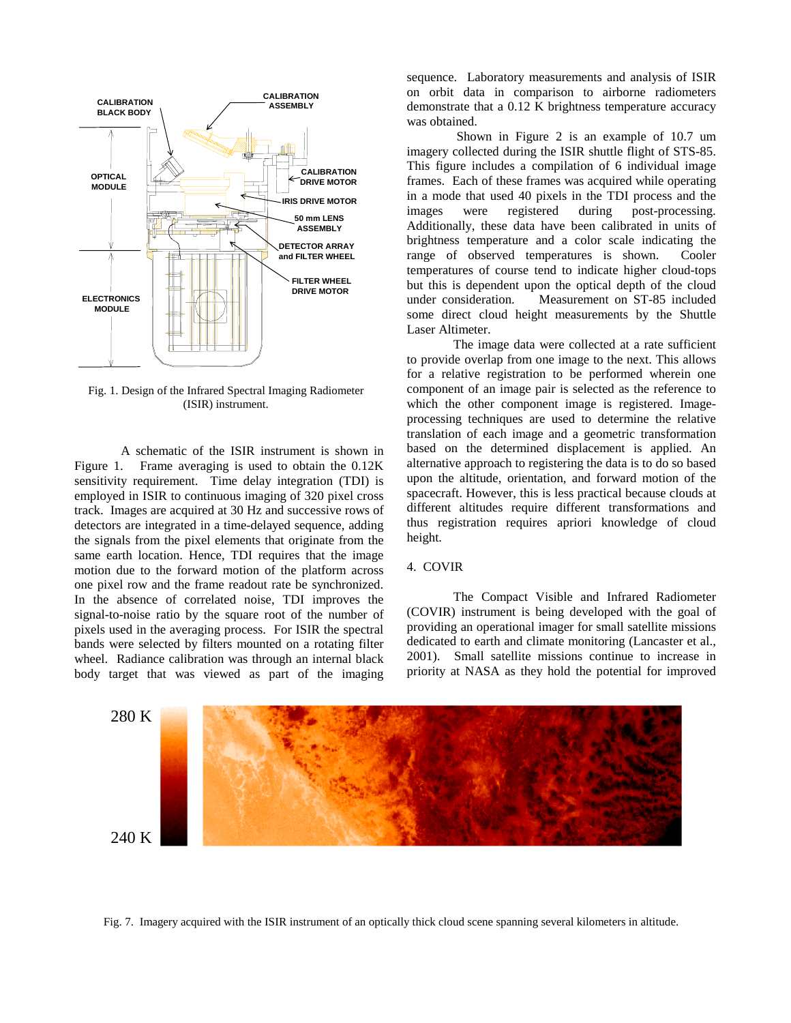

Fig. 1. Design of the Infrared Spectral Imaging Radiometer (ISIR) instrument.

A schematic of the ISIR instrument is shown in Figure 1. Frame averaging is used to obtain the 0.12K sensitivity requirement. Time delay integration (TDI) is employed in ISIR to continuous imaging of 320 pixel cross track. Images are acquired at 30 Hz and successive rows of detectors are integrated in a time-delayed sequence, adding the signals from the pixel elements that originate from the same earth location. Hence, TDI requires that the image motion due to the forward motion of the platform across one pixel row and the frame readout rate be synchronized. In the absence of correlated noise, TDI improves the signal-to-noise ratio by the square root of the number of pixels used in the averaging process. For ISIR the spectral bands were selected by filters mounted on a rotating filter wheel. Radiance calibration was through an internal black body target that was viewed as part of the imaging

sequence. Laboratory measurements and analysis of ISIR on orbit data in comparison to airborne radiometers demonstrate that a 0.12 K brightness temperature accuracy was obtained.

 Shown in Figure 2 is an example of 10.7 um imagery collected during the ISIR shuttle flight of STS-85. This figure includes a compilation of 6 individual image frames. Each of these frames was acquired while operating in a mode that used 40 pixels in the TDI process and the images were registered during post-processing. Additionally, these data have been calibrated in units of brightness temperature and a color scale indicating the range of observed temperatures is shown. Cooler temperatures of course tend to indicate higher cloud-tops but this is dependent upon the optical depth of the cloud under consideration. Measurement on ST-85 included some direct cloud height measurements by the Shuttle Laser Altimeter.

The image data were collected at a rate sufficient to provide overlap from one image to the next. This allows for a relative registration to be performed wherein one component of an image pair is selected as the reference to which the other component image is registered. Imageprocessing techniques are used to determine the relative translation of each image and a geometric transformation based on the determined displacement is applied. An alternative approach to registering the data is to do so based upon the altitude, orientation, and forward motion of the spacecraft. However, this is less practical because clouds at different altitudes require different transformations and thus registration requires apriori knowledge of cloud height.

### 4. COVIR

The Compact Visible and Infrared Radiometer (COVIR) instrument is being developed with the goal of providing an operational imager for small satellite missions dedicated to earth and climate monitoring (Lancaster et al., 2001). Small satellite missions continue to increase in priority at NASA as they hold the potential for improved



Fig. 7. Imagery acquired with the ISIR instrument of an optically thick cloud scene spanning several kilometers in altitude.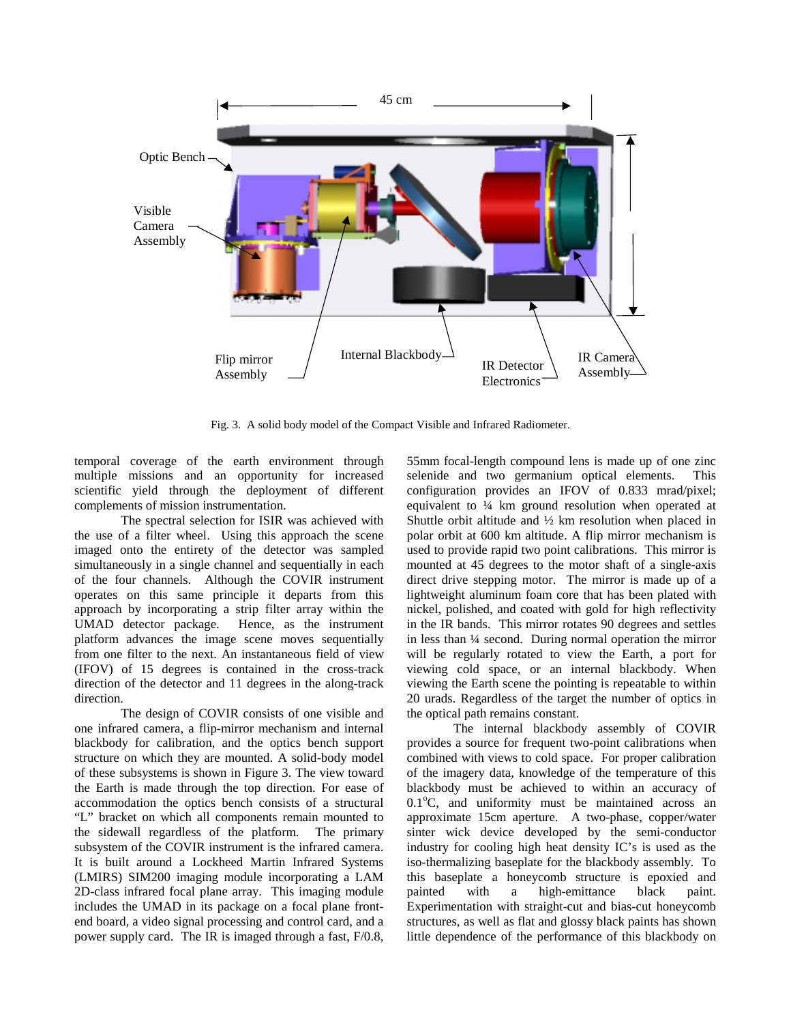

Fig. 3. A solid body model of the Compact Visible and Infrared Radiometer.

temporal coverage of the earth environment through multiple missions and an opportunity for increased scientific yield through the deployment of different complements of mission instrumentation.

The spectral selection for ISIR was achieved with the use of a filter wheel. Using this approach the scene imaged onto the entirety of the detector was sampled simultaneously in a single channel and sequentially in each of the four channels. Although the COVIR instrument operates on this same principle it departs from this approach by incorporating a strip filter array within the UMAD detector package. Hence, as the instrument platform advances the image scene moves sequentially from one filter to the next. An instantaneous field of view (IFOV) of 15 degrees is contained in the cross-track direction of the detector and 11 degrees in the along-track direction.

The design of COVIR consists of one visible and one infrared camera, a flip-mirror mechanism and internal blackbody for calibration, and the optics bench support structure on which they are mounted. A solid-body model of these subsystems is shown in Figure 3. The view toward the Earth is made through the top direction. For ease of accommodation the optics bench consists of a structural "L" bracket on which all components remain mounted to the sidewall regardless of the platform. The primary subsystem of the COVIR instrument is the infrared camera. It is built around a Lockheed Martin Infrared Systems (LMIRS) SIM200 imaging module incorporating a LAM 2D-class infrared focal plane array. This imaging module includes the UMAD in its package on a focal plane frontend board, a video signal processing and control card, and a power supply card. The IR is imaged through a fast, F/0.8,

55mm focal-length compound lens is made up of one zinc selenide and two germanium optical elements. This configuration provides an IFOV of 0.833 mrad/pixel; equivalent to ¼ km ground resolution when operated at Shuttle orbit altitude and  $\frac{1}{2}$  km resolution when placed in polar orbit at 600 km altitude. A flip mirror mechanism is used to provide rapid two point calibrations. This mirror is mounted at 45 degrees to the motor shaft of a single-axis direct drive stepping motor. The mirror is made up of a lightweight aluminum foam core that has been plated with nickel, polished, and coated with gold for high reflectivity in the IR bands. This mirror rotates 90 degrees and settles in less than ¼ second. During normal operation the mirror will be regularly rotated to view the Earth, a port for viewing cold space, or an internal blackbody. When viewing the Earth scene the pointing is repeatable to within 20 urads. Regardless of the target the number of optics in the optical path remains constant.

The internal blackbody assembly of COVIR provides a source for frequent two-point calibrations when combined with views to cold space. For proper calibration of the imagery data, knowledge of the temperature of this blackbody must be achieved to within an accuracy of  $0.1^{\circ}$ C, and uniformity must be maintained across an approximate 15cm aperture. A two-phase, copper/water sinter wick device developed by the semi-conductor industry for cooling high heat density IC's is used as the iso-thermalizing baseplate for the blackbody assembly. To this baseplate a honeycomb structure is epoxied and painted with a high-emittance black paint. Experimentation with straight-cut and bias-cut honeycomb structures, as well as flat and glossy black paints has shown little dependence of the performance of this blackbody on